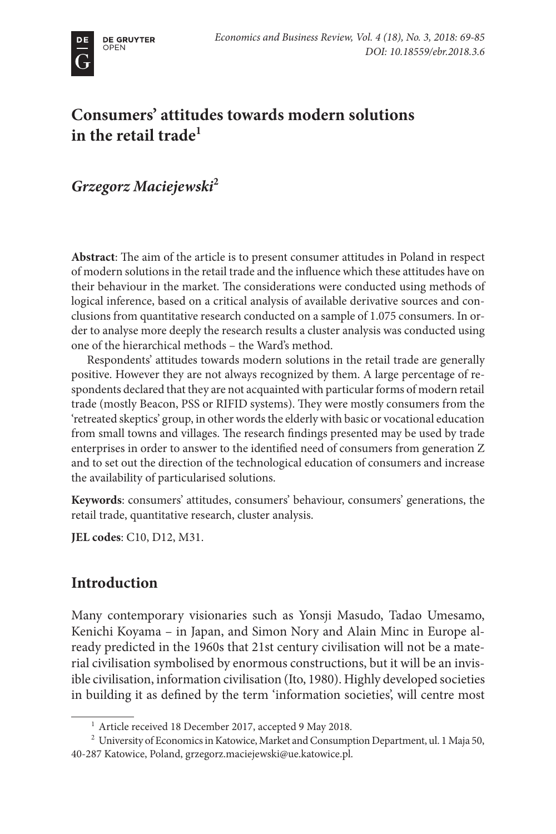# **Consumers' attitudes towards modern solutions in the retail trade1**

*Grzegorz Maciejewski***<sup>2</sup>**

**Abstract**: The aim of the article is to present consumer attitudes in Poland in respect of modern solutions in the retail trade and the influence which these attitudes have on their behaviour in the market. The considerations were conducted using methods of logical inference, based on a critical analysis of available derivative sources and conclusions from quantitative research conducted on a sample of 1.075 consumers. In order to analyse more deeply the research results a cluster analysis was conducted using one of the hierarchical methods – the Ward's method.

Respondents' attitudes towards modern solutions in the retail trade are generally positive. However they are not always recognized by them. A large percentage of respondents declared that they are not acquainted with particular forms of modern retail trade (mostly Beacon, PSS or RIFID systems). They were mostly consumers from the 'retreated skeptics' group, in other words the elderly with basic or vocational education from small towns and villages. The research findings presented may be used by trade enterprises in order to answer to the identified need of consumers from generation Z and to set out the direction of the technological education of consumers and increase the availability of particularised solutions.

**Keywords**: consumers' attitudes, consumers' behaviour, consumers' generations, the retail trade, quantitative research, cluster analysis.

**JEL codes**: C10, D12, M31.

# **Introduction**

Many contemporary visionaries such as Yonsji Masudo, Tadao Umesamo, Kenichi Koyama – in Japan, and Simon Nory and Alain Minc in Europe already predicted in the 1960s that 21st century civilisation will not be a material civilisation symbolised by enormous constructions, but it will be an invisible civilisation, information civilisation (Ito, 1980). Highly developed societies in building it as defined by the term 'information societies', will centre most

<sup>&</sup>lt;sup>1</sup> Article received 18 December 2017, accepted 9 May 2018.

<sup>&</sup>lt;sup>2</sup> University of Economics in Katowice, Market and Consumption Department, ul. 1 Maja 50, 40-287 Katowice, Poland, [grzegorz.maciejewski@ue.katowice.pl](mailto:grzegorz.maciejewski@ue.katowice.pl).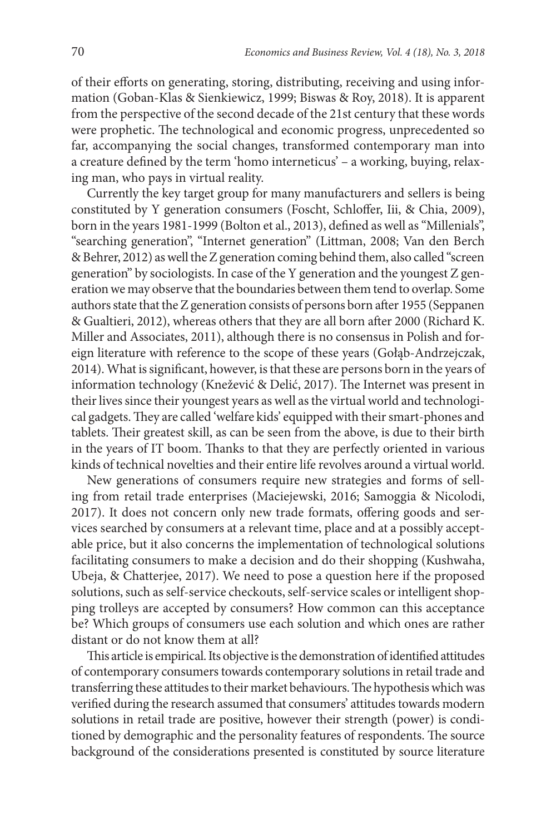of their efforts on generating, storing, distributing, receiving and using information (Goban-Klas & Sienkiewicz, 1999; Biswas & Roy, 2018). It is apparent from the perspective of the second decade of the 21st century that these words were prophetic. The technological and economic progress, unprecedented so far, accompanying the social changes, transformed contemporary man into a creature defined by the term 'homo interneticus' – a working, buying, relaxing man, who pays in virtual reality.

Currently the key target group for many manufacturers and sellers is being constituted by Y generation consumers (Foscht, Schloffer, Iii, & Chia, 2009), born in the years 1981-1999 (Bolton et al., 2013), defined as well as "Millenials", "searching generation", "Internet generation" (Littman, 2008; Van den Berch & Behrer, 2012) as well the Z generation coming behind them, also called "screen generation" by sociologists. In case of the Y generation and the youngest Z generation we may observe that the boundaries between them tend to overlap. Some authors state that the Z generation consists of persons born after 1955 (Seppanen & Gualtieri, 2012), whereas others that they are all born after 2000 (Richard K. Miller and Associates, 2011), although there is no consensus in Polish and foreign literature with reference to the scope of these years (Gołąb-Andrzejczak, 2014). What is significant, however, is that these are persons born in the years of information technology (Knežević & Delić, 2017). The Internet was present in their lives since their youngest years as well as the virtual world and technological gadgets. They are called 'welfare kids' equipped with their smart-phones and tablets. Their greatest skill, as can be seen from the above, is due to their birth in the years of IT boom. Thanks to that they are perfectly oriented in various kinds of technical novelties and their entire life revolves around a virtual world.

New generations of consumers require new strategies and forms of selling from retail trade enterprises (Maciejewski, 2016; Samoggia & Nicolodi, 2017). It does not concern only new trade formats, offering goods and services searched by consumers at a relevant time, place and at a possibly acceptable price, but it also concerns the implementation of technological solutions facilitating consumers to make a decision and do their shopping (Kushwaha, Ubeja, & Chatterjee, 2017). We need to pose a question here if the proposed solutions, such as self-service checkouts, self-service scales or intelligent shopping trolleys are accepted by consumers? How common can this acceptance be? Which groups of consumers use each solution and which ones are rather distant or do not know them at all?

This article is empirical. Its objective is the demonstration of identified attitudes of contemporary consumers towards contemporary solutions in retail trade and transferring these attitudes to their market behaviours. The hypothesis which was verified during the research assumed that consumers' attitudes towards modern solutions in retail trade are positive, however their strength (power) is conditioned by demographic and the personality features of respondents. The source background of the considerations presented is constituted by source literature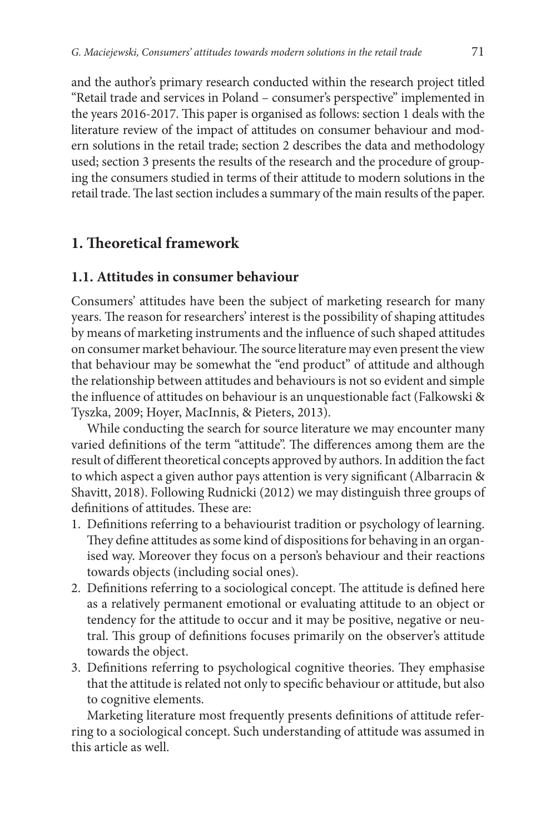and the author's primary research conducted within the research project titled "Retail trade and services in Poland – consumer's perspective" implemented in the years 2016-2017. This paper is organised as follows: section 1 deals with the literature review of the impact of attitudes on consumer behaviour and modern solutions in the retail trade; section 2 describes the data and methodology used; section 3 presents the results of the research and the procedure of grouping the consumers studied in terms of their attitude to modern solutions in the retail trade. The last section includes a summary of the main results of the paper.

# **1. Theoretical framework**

#### **1.1. Attitudes in consumer behaviour**

Consumers' attitudes have been the subject of marketing research for many years. The reason for researchers' interest is the possibility of shaping attitudes by means of marketing instruments and the influence of such shaped attitudes on consumer market behaviour. The source literature may even present the view that behaviour may be somewhat the "end product" of attitude and although the relationship between attitudes and behaviours is not so evident and simple the influence of attitudes on behaviour is an unquestionable fact (Falkowski & Tyszka, 2009; Hoyer, MacInnis, & Pieters, 2013).

While conducting the search for source literature we may encounter many varied definitions of the term "attitude". The differences among them are the result of different theoretical concepts approved by authors. In addition the fact to which aspect a given author pays attention is very significant (Albarracin & Shavitt, 2018). Following Rudnicki (2012) we may distinguish three groups of definitions of attitudes. These are:

- 1. Definitions referring to a behaviourist tradition or psychology of learning. They define attitudes as some kind of dispositions for behaving in an organised way. Moreover they focus on a person's behaviour and their reactions towards objects (including social ones).
- 2. Definitions referring to a sociological concept. The attitude is defined here as a relatively permanent emotional or evaluating attitude to an object or tendency for the attitude to occur and it may be positive, negative or neutral. This group of definitions focuses primarily on the observer's attitude towards the object.
- 3. Definitions referring to psychological cognitive theories. They emphasise that the attitude is related not only to specific behaviour or attitude, but also to cognitive elements.

Marketing literature most frequently presents definitions of attitude referring to a sociological concept. Such understanding of attitude was assumed in this article as well.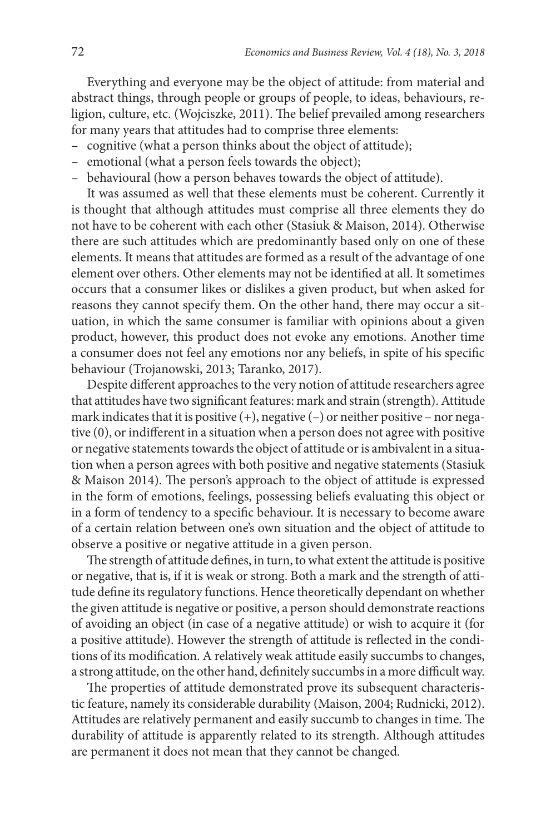Everything and everyone may be the object of attitude: from material and abstract things, through people or groups of people, to ideas, behaviours, religion, culture, etc. (Wojciszke, 2011). The belief prevailed among researchers for many years that attitudes had to comprise three elements:

- cognitive (what a person thinks about the object of attitude);
- emotional (what a person feels towards the object);
- behavioural (how a person behaves towards the object of attitude).

It was assumed as well that these elements must be coherent. Currently it is thought that although attitudes must comprise all three elements they do not have to be coherent with each other (Stasiuk & Maison, 2014). Otherwise there are such attitudes which are predominantly based only on one of these elements. It means that attitudes are formed as a result of the advantage of one element over others. Other elements may not be identified at all. It sometimes occurs that a consumer likes or dislikes a given product, but when asked for reasons they cannot specify them. On the other hand, there may occur a situation, in which the same consumer is familiar with opinions about a given product, however, this product does not evoke any emotions. Another time a consumer does not feel any emotions nor any beliefs, in spite of his specific behaviour (Trojanowski, 2013; Taranko, 2017).

Despite different approaches to the very notion of attitude researchers agree that attitudes have two significant features: mark and strain (strength). Attitude mark indicates that it is positive  $(+)$ , negative  $(-)$  or neither positive – nor negative (0), or indifferent in a situation when a person does not agree with positive or negative statements towards the object of attitude or is ambivalent in a situation when a person agrees with both positive and negative statements (Stasiuk & Maison 2014). The person's approach to the object of attitude is expressed in the form of emotions, feelings, possessing beliefs evaluating this object or in a form of tendency to a specific behaviour. It is necessary to become aware of a certain relation between one's own situation and the object of attitude to observe a positive or negative attitude in a given person.

The strength of attitude defines, in turn, to what extent the attitude is positive or negative, that is, if it is weak or strong. Both a mark and the strength of attitude define its regulatory functions. Hence theoretically dependant on whether the given attitude is negative or positive, a person should demonstrate reactions of avoiding an object (in case of a negative attitude) or wish to acquire it (for a positive attitude). However the strength of attitude is reflected in the conditions of its modification. A relatively weak attitude easily succumbs to changes, a strong attitude, on the other hand, definitely succumbs in a more difficult way.

The properties of attitude demonstrated prove its subsequent characteristic feature, namely its considerable durability (Maison, 2004; Rudnicki, 2012). Attitudes are relatively permanent and easily succumb to changes in time. The durability of attitude is apparently related to its strength. Although attitudes are permanent it does not mean that they cannot be changed.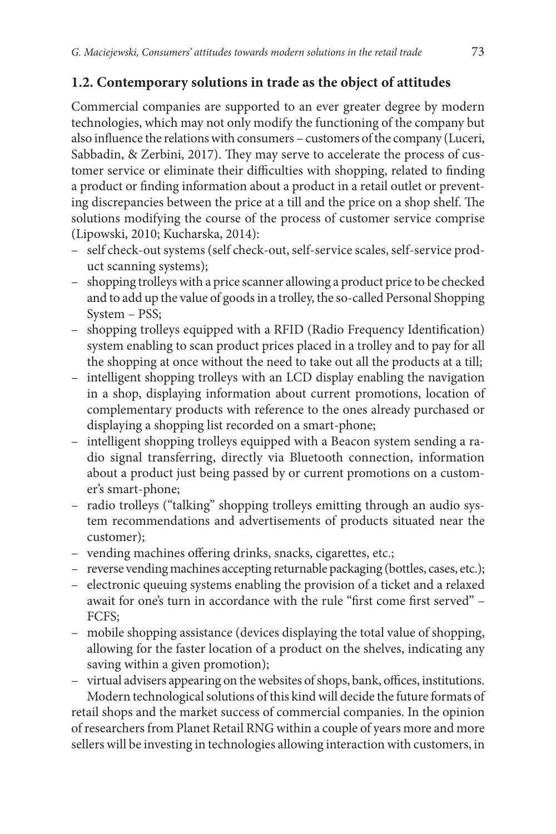#### **1.2. Contemporary solutions in trade as the object of attitudes**

Commercial companies are supported to an ever greater degree by modern technologies, which may not only modify the functioning of the company but also influence the relations with consumers – customers of the company (Luceri, Sabbadin, & Zerbini, 2017). They may serve to accelerate the process of customer service or eliminate their difficulties with shopping, related to finding a product or finding information about a product in a retail outlet or preventing discrepancies between the price at a till and the price on a shop shelf. The solutions modifying the course of the process of customer service comprise (Lipowski, 2010; Kucharska, 2014):

- self check-out systems (self check-out, self-service scales, self-service product scanning systems);
- shopping trolleys with a price scanner allowing a product price to be checked and to add up the value of goods in a trolley, the so-called Personal Shopping System – PSS;
- shopping trolleys equipped with a RFID (Radio Frequency Identification) system enabling to scan product prices placed in a trolley and to pay for all the shopping at once without the need to take out all the products at a till;
- intelligent shopping trolleys with an LCD display enabling the navigation in a shop, displaying information about current promotions, location of complementary products with reference to the ones already purchased or displaying a shopping list recorded on a smart-phone;
- intelligent shopping trolleys equipped with a Beacon system sending a radio signal transferring, directly via Bluetooth connection, information about a product just being passed by or current promotions on a customer's smart-phone;
- radio trolleys ("talking" shopping trolleys emitting through an audio system recommendations and advertisements of products situated near the customer);
- vending machines offering drinks, snacks, cigarettes, etc.;
- reverse vending machines accepting returnable packaging (bottles, cases, etc.);
- electronic queuing systems enabling the provision of a ticket and a relaxed await for one's turn in accordance with the rule "first come first served" – FCFS;
- mobile shopping assistance (devices displaying the total value of shopping, allowing for the faster location of a product on the shelves, indicating any saving within a given promotion);
- virtual advisers appearing on the websites of shops, bank, offices, institutions.

Modern technological solutions of this kind will decide the future formats of retail shops and the market success of commercial companies. In the opinion of researchers from Planet Retail RNG within a couple of years more and more sellers will be investing in technologies allowing interaction with customers, in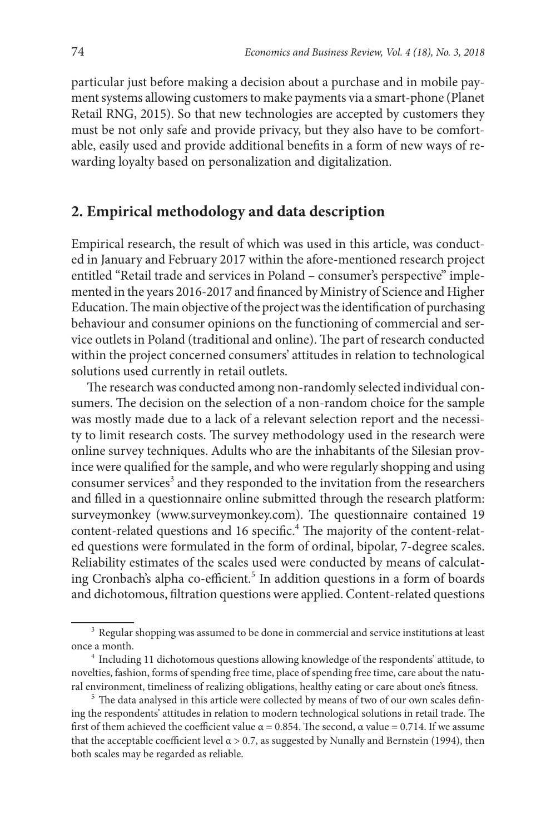particular just before making a decision about a purchase and in mobile payment systems allowing customers to make payments via a smart-phone (Planet Retail RNG, 2015). So that new technologies are accepted by customers they must be not only safe and provide privacy, but they also have to be comfortable, easily used and provide additional benefits in a form of new ways of rewarding loyalty based on personalization and digitalization.

### **2. Empirical methodology and data description**

Empirical research, the result of which was used in this article, was conducted in January and February 2017 within the afore-mentioned research project entitled "Retail trade and services in Poland – consumer's perspective" implemented in the years 2016-2017 and financed by Ministry of Science and Higher Education. The main objective of the project was the identification of purchasing behaviour and consumer opinions on the functioning of commercial and service outlets in Poland (traditional and online). The part of research conducted within the project concerned consumers' attitudes in relation to technological solutions used currently in retail outlets.

The research was conducted among non-randomly selected individual consumers. The decision on the selection of a non-random choice for the sample was mostly made due to a lack of a relevant selection report and the necessity to limit research costs. The survey methodology used in the research were online survey techniques. Adults who are the inhabitants of the Silesian province were qualified for the sample, and who were regularly shopping and using consumer services<sup>3</sup> and they responded to the invitation from the researchers and filled in a questionnaire online submitted through the research platform: surveymonkey ([www.surveymonkey.com](http://www.surveymonkey.com)). The questionnaire contained 19 content-related questions and 16 specific.<sup>4</sup> The majority of the content-related questions were formulated in the form of ordinal, bipolar, 7-degree scales. Reliability estimates of the scales used were conducted by means of calculating Cronbach's alpha co-efficient.<sup>5</sup> In addition questions in a form of boards and dichotomous, filtration questions were applied. Content-related questions

<sup>&</sup>lt;sup>3</sup> Regular shopping was assumed to be done in commercial and service institutions at least once a month.

<sup>4</sup> Including 11 dichotomous questions allowing knowledge of the respondents' attitude, to novelties, fashion, forms of spending free time, place of spending free time, care about the natural environment, timeliness of realizing obligations, healthy eating or care about one's fitness.

<sup>&</sup>lt;sup>5</sup> The data analysed in this article were collected by means of two of our own scales defining the respondents' attitudes in relation to modern technological solutions in retail trade. The first of them achieved the coefficient value  $\alpha = 0.854$ . The second,  $\alpha$  value = 0.714. If we assume that the acceptable coefficient level  $\alpha$  > 0.7, as suggested by Nunally and Bernstein (1994), then both scales may be regarded as reliable.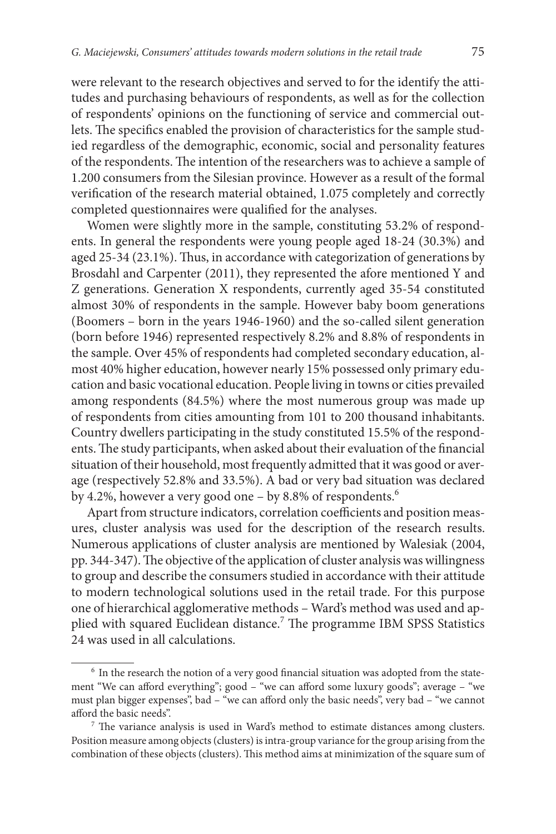were relevant to the research objectives and served to for the identify the attitudes and purchasing behaviours of respondents, as well as for the collection of respondents' opinions on the functioning of service and commercial outlets. The specifics enabled the provision of characteristics for the sample studied regardless of the demographic, economic, social and personality features of the respondents. The intention of the researchers was to achieve a sample of 1.200 consumers from the Silesian province. However as a result of the formal verification of the research material obtained, 1.075 completely and correctly completed questionnaires were qualified for the analyses.

Women were slightly more in the sample, constituting 53.2% of respondents. In general the respondents were young people aged 18-24 (30.3%) and aged 25-34 (23.1%). Thus, in accordance with categorization of generations by Brosdahl and Carpenter (2011), they represented the afore mentioned Y and Z generations. Generation X respondents, currently aged 35-54 constituted almost 30% of respondents in the sample. However baby boom generations (Boomers – born in the years 1946-1960) and the so-called silent generation (born before 1946) represented respectively 8.2% and 8.8% of respondents in the sample. Over 45% of respondents had completed secondary education, almost 40% higher education, however nearly 15% possessed only primary education and basic vocational education. People living in towns or cities prevailed among respondents (84.5%) where the most numerous group was made up of respondents from cities amounting from 101 to 200 thousand inhabitants. Country dwellers participating in the study constituted 15.5% of the respondents. The study participants, when asked about their evaluation of the financial situation of their household, most frequently admitted that it was good or average (respectively 52.8% and 33.5%). A bad or very bad situation was declared by 4.2%, however a very good one - by 8.8% of respondents.<sup>6</sup>

Apart from structure indicators, correlation coefficients and position measures, cluster analysis was used for the description of the research results. Numerous applications of cluster analysis are mentioned by Walesiak (2004, pp. 344-347). The objective of the application of cluster analysis was willingness to group and describe the consumers studied in accordance with their attitude to modern technological solutions used in the retail trade. For this purpose one of hierarchical agglomerative methods – Ward's method was used and applied with squared Euclidean distance.<sup>7</sup> The programme IBM SPSS Statistics 24 was used in all calculations.

 $6$  In the research the notion of a very good financial situation was adopted from the statement "We can afford everything"; good – "we can afford some luxury goods"; average – "we must plan bigger expenses", bad – "we can afford only the basic needs", very bad – "we cannot afford the basic needs".

 $<sup>7</sup>$  The variance analysis is used in Ward's method to estimate distances among clusters.</sup> Position measure among objects (clusters) is intra-group variance for the group arising from the combination of these objects (clusters). This method aims at minimization of the square sum of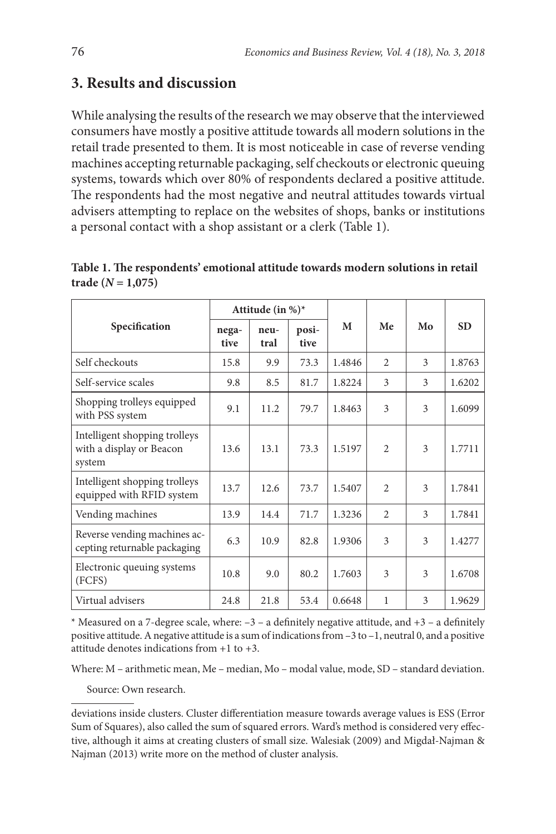# **3. Results and discussion**

While analysing the results of the research we may observe that the interviewed consumers have mostly a positive attitude towards all modern solutions in the retail trade presented to them. It is most noticeable in case of reverse vending machines accepting returnable packaging, self checkouts or electronic queuing systems, towards which over 80% of respondents declared a positive attitude. The respondents had the most negative and neutral attitudes towards virtual advisers attempting to replace on the websites of shops, banks or institutions a personal contact with a shop assistant or a clerk (Table 1).

**Table 1. The respondents' emotional attitude towards modern solutions in retail**   $\text{trade } (N = 1,075)$ 

| Specification                                                       | Attitude (in %)* |              |               |        |                |    |           |
|---------------------------------------------------------------------|------------------|--------------|---------------|--------|----------------|----|-----------|
|                                                                     | nega-<br>tive    | neu-<br>tral | posi-<br>tive | M      | Me             | Mo | <b>SD</b> |
| Self checkouts                                                      | 15.8             | 9.9          | 73.3          | 1.4846 | $\overline{c}$ | 3  | 1.8763    |
| Self-service scales                                                 | 9.8              | 8.5          | 81.7          | 1.8224 | 3              | 3  | 1.6202    |
| Shopping trolleys equipped<br>with PSS system                       | 9.1              | 11.2         | 79.7          | 1.8463 | 3              | 3  | 1.6099    |
| Intelligent shopping trolleys<br>with a display or Beacon<br>system | 13.6             | 13.1         | 73.3          | 1.5197 | $\overline{c}$ | 3  | 1.7711    |
| Intelligent shopping trolleys<br>equipped with RFID system          | 13.7             | 12.6         | 73.7          | 1.5407 | $\mathfrak{D}$ | 3  | 1.7841    |
| Vending machines                                                    | 13.9             | 14.4         | 71.7          | 1.3236 | 2              | 3  | 1.7841    |
| Reverse vending machines ac-<br>cepting returnable packaging        | 6.3              | 10.9         | 82.8          | 1.9306 | 3              | 3  | 1.4277    |
| Electronic queuing systems<br>(FCFS)                                | 10.8             | 9.0          | 80.2          | 1.7603 | 3              | 3  | 1.6708    |
| Virtual advisers                                                    | 24.8             | 21.8         | 53.4          | 0.6648 | 1              | 3  | 1.9629    |

\* Measured on a 7-degree scale, where:  $-3 - a$  definitely negative attitude, and  $+3 - a$  definitely positive attitude. A negative attitude is a sum of indications from –3 to –1, neutral 0, and a positive attitude denotes indications from +1 to +3.

Where: M – arithmetic mean, Me – median, Mo – modal value, mode, SD – standard deviation.

Source: Own research.

deviations inside clusters. Cluster differentiation measure towards average values is ESS (Error Sum of Squares), also called the sum of squared errors. Ward's method is considered very effective, although it aims at creating clusters of small size. Walesiak (2009) and Migdał-Najman & Najman (2013) write more on the method of cluster analysis.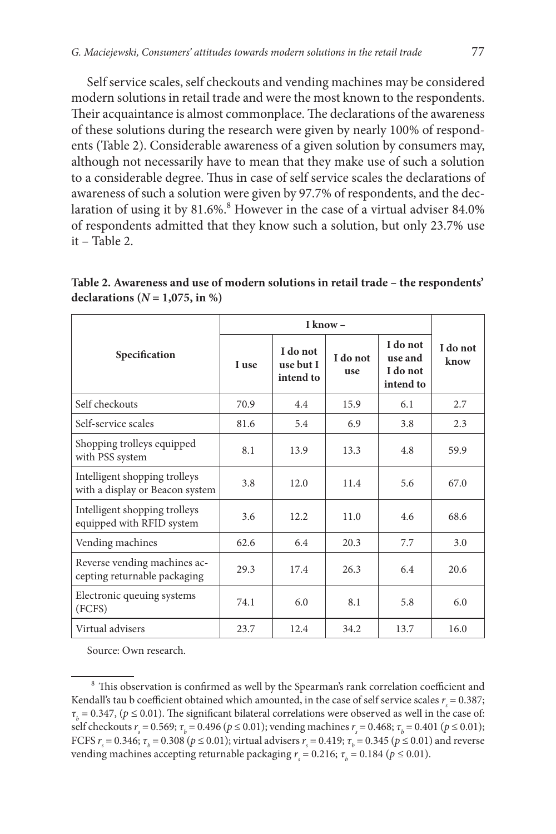Self service scales, self checkouts and vending machines may be considered modern solutions in retail trade and were the most known to the respondents. Their acquaintance is almost commonplace. The declarations of the awareness of these solutions during the research were given by nearly 100% of respondents (Table 2). Considerable awareness of a given solution by consumers may, although not necessarily have to mean that they make use of such a solution to a considerable degree. Thus in case of self service scales the declarations of awareness of such a solution were given by 97.7% of respondents, and the declaration of using it by  $81.6\%$ . However in the case of a virtual adviser  $84.0\%$ of respondents admitted that they know such a solution, but only 23.7% use it – Table 2.

**Table 2. Awareness and use of modern solutions in retail trade – the respondents'**  declarations  $(N = 1,075, in \%)$ 

| Specification                                                    | I use | I do not<br>use but I<br>intend to | I do not<br>use | I do not<br>use and<br>I do not<br>intend to | I do not<br>know |
|------------------------------------------------------------------|-------|------------------------------------|-----------------|----------------------------------------------|------------------|
| Self checkouts                                                   | 70.9  | 4.4                                | 15.9            | 6.1                                          | 2.7              |
| Self-service scales                                              | 81.6  | 5.4                                | 6.9             | 3.8                                          | 2.3              |
| Shopping trolleys equipped<br>with PSS system                    | 8.1   | 13.9                               | 13.3            | 4.8                                          | 59.9             |
| Intelligent shopping trolleys<br>with a display or Beacon system | 3.8   | 12.0                               | 11.4            | 5.6                                          | 67.0             |
| Intelligent shopping trolleys<br>equipped with RFID system       | 3.6   | 12.2.                              | 11.0            | 4.6                                          | 68.6             |
| Vending machines                                                 | 62.6  | 6.4                                | 20.3            | 7.7                                          | 3.0              |
| Reverse vending machines ac-<br>cepting returnable packaging     | 29.3  | 17.4                               | 26.3            | 6.4                                          | 20.6             |
| Electronic queuing systems<br>(FCFS)                             | 74.1  | 6.0                                | 8.1             | 5.8                                          | 6.0              |
| Virtual advisers                                                 | 23.7  | 12.4                               | 34.2            | 13.7                                         | 16.0             |

Source: Own research.

<sup>8</sup> This observation is confirmed as well by the Spearman's rank correlation coefficient and Kendall's tau b coefficient obtained which amounted, in the case of self service scales  $r<sub>s</sub> = 0.387$ ;  $\tau_b$  = 0.347, ( $p \le 0.01$ ). The significant bilateral correlations were observed as well in the case of: self checkouts  $r_s = 0.569$ ;  $\tau_b = 0.496$  ( $p \le 0.01$ ); vending machines  $r_s = 0.468$ ;  $\tau_b = 0.401$  ( $p \le 0.01$ ); FCFS  $r_s = 0.346$ ;  $τ_k = 0.308$  ( $p \le 0.01$ ); virtual advisers  $r_s = 0.419$ ;  $τ_k = 0.345$  ( $p \le 0.01$ ) and reverse vending machines accepting returnable packaging  $r = 0.216$ ;  $\tau_b = 0.184$  ( $p \le 0.01$ ).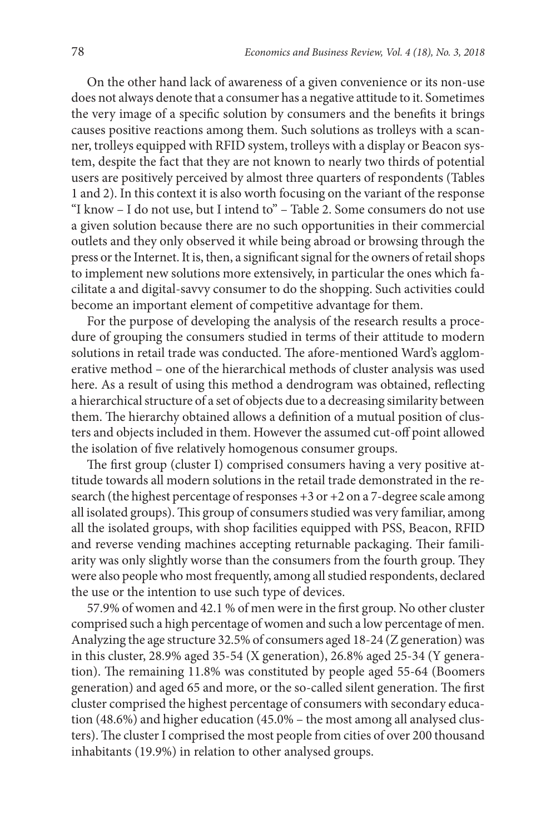On the other hand lack of awareness of a given convenience or its non-use does not always denote that a consumer has a negative attitude to it. Sometimes the very image of a specific solution by consumers and the benefits it brings causes positive reactions among them. Such solutions as trolleys with a scanner, trolleys equipped with RFID system, trolleys with a display or Beacon system, despite the fact that they are not known to nearly two thirds of potential users are positively perceived by almost three quarters of respondents (Tables 1 and 2). In this context it is also worth focusing on the variant of the response "I know – I do not use, but I intend to" – Table 2. Some consumers do not use a given solution because there are no such opportunities in their commercial outlets and they only observed it while being abroad or browsing through the press or the Internet. It is, then, a significant signal for the owners of retail shops to implement new solutions more extensively, in particular the ones which facilitate a and digital-savvy consumer to do the shopping. Such activities could become an important element of competitive advantage for them.

For the purpose of developing the analysis of the research results a procedure of grouping the consumers studied in terms of their attitude to modern solutions in retail trade was conducted. The afore-mentioned Ward's agglomerative method – one of the hierarchical methods of cluster analysis was used here. As a result of using this method a dendrogram was obtained, reflecting a hierarchical structure of a set of objects due to a decreasing similarity between them. The hierarchy obtained allows a definition of a mutual position of clusters and objects included in them. However the assumed cut-off point allowed the isolation of five relatively homogenous consumer groups.

The first group (cluster I) comprised consumers having a very positive attitude towards all modern solutions in the retail trade demonstrated in the research (the highest percentage of responses +3 or +2 on a 7-degree scale among all isolated groups). This group of consumers studied was very familiar, among all the isolated groups, with shop facilities equipped with PSS, Beacon, RFID and reverse vending machines accepting returnable packaging. Their familiarity was only slightly worse than the consumers from the fourth group. They were also people who most frequently, among all studied respondents, declared the use or the intention to use such type of devices.

57.9% of women and 42.1 % of men were in the first group. No other cluster comprised such a high percentage of women and such a low percentage of men. Analyzing the age structure 32.5% of consumers aged 18-24 (Z generation) was in this cluster, 28.9% aged 35-54 (X generation), 26.8% aged 25-34 (Y generation). The remaining 11.8% was constituted by people aged 55-64 (Boomers generation) and aged 65 and more, or the so-called silent generation. The first cluster comprised the highest percentage of consumers with secondary education (48.6%) and higher education (45.0% – the most among all analysed clusters). The cluster I comprised the most people from cities of over 200 thousand inhabitants (19.9%) in relation to other analysed groups.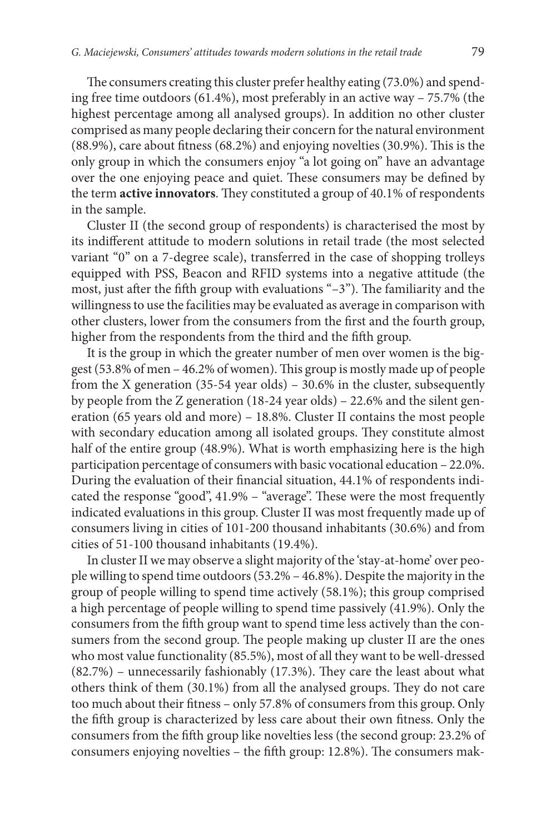The consumers creating this cluster prefer healthy eating (73.0%) and spending free time outdoors (61.4%), most preferably in an active way – 75.7% (the highest percentage among all analysed groups). In addition no other cluster comprised as many people declaring their concern for the natural environment (88.9%), care about fitness (68.2%) and enjoying novelties (30.9%). This is the only group in which the consumers enjoy "a lot going on" have an advantage over the one enjoying peace and quiet. These consumers may be defined by the term **active innovators**. They constituted a group of 40.1% of respondents in the sample.

Cluster II (the second group of respondents) is characterised the most by its indifferent attitude to modern solutions in retail trade (the most selected variant "0" on a 7-degree scale), transferred in the case of shopping trolleys equipped with PSS, Beacon and RFID systems into a negative attitude (the most, just after the fifth group with evaluations "–3"). The familiarity and the willingness to use the facilities may be evaluated as average in comparison with other clusters, lower from the consumers from the first and the fourth group, higher from the respondents from the third and the fifth group.

It is the group in which the greater number of men over women is the biggest (53.8% of men – 46.2% of women). This group is mostly made up of people from the X generation (35-54 year olds) – 30.6% in the cluster, subsequently by people from the Z generation (18-24 year olds) – 22.6% and the silent generation (65 years old and more) – 18.8%. Cluster II contains the most people with secondary education among all isolated groups. They constitute almost half of the entire group (48.9%). What is worth emphasizing here is the high participation percentage of consumers with basic vocational education – 22.0%. During the evaluation of their financial situation, 44.1% of respondents indicated the response "good", 41.9% – "average". These were the most frequently indicated evaluations in this group. Cluster II was most frequently made up of consumers living in cities of 101-200 thousand inhabitants (30.6%) and from cities of 51-100 thousand inhabitants (19.4%).

In cluster II we may observe a slight majority of the 'stay-at-home' over people willing to spend time outdoors (53.2% – 46.8%). Despite the majority in the group of people willing to spend time actively (58.1%); this group comprised a high percentage of people willing to spend time passively (41.9%). Only the consumers from the fifth group want to spend time less actively than the consumers from the second group. The people making up cluster II are the ones who most value functionality (85.5%), most of all they want to be well-dressed (82.7%) – unnecessarily fashionably (17.3%). They care the least about what others think of them (30.1%) from all the analysed groups. They do not care too much about their fitness – only 57.8% of consumers from this group. Only the fifth group is characterized by less care about their own fitness. Only the consumers from the fifth group like novelties less (the second group: 23.2% of consumers enjoying novelties – the fifth group: 12.8%). The consumers mak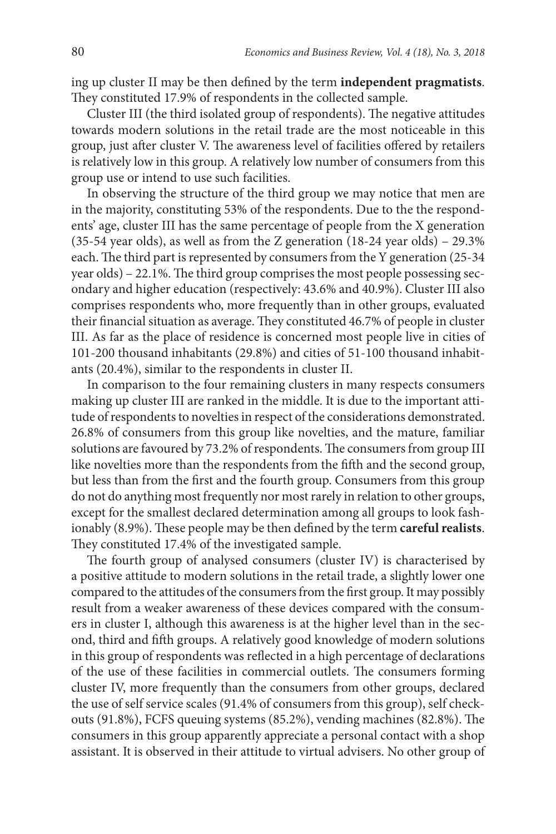ing up cluster II may be then defined by the term **independent pragmatists**. They constituted 17.9% of respondents in the collected sample.

Cluster III (the third isolated group of respondents). The negative attitudes towards modern solutions in the retail trade are the most noticeable in this group, just after cluster V. The awareness level of facilities offered by retailers is relatively low in this group. A relatively low number of consumers from this group use or intend to use such facilities.

In observing the structure of the third group we may notice that men are in the majority, constituting 53% of the respondents. Due to the the respondents' age, cluster III has the same percentage of people from the X generation (35-54 year olds), as well as from the Z generation  $(18-24 \text{ year olds}) - 29.3\%$ each. The third part is represented by consumers from the Y generation (25-34 year olds) – 22.1%. The third group comprises the most people possessing secondary and higher education (respectively: 43.6% and 40.9%). Cluster III also comprises respondents who, more frequently than in other groups, evaluated their financial situation as average. They constituted 46.7% of people in cluster III. As far as the place of residence is concerned most people live in cities of 101-200 thousand inhabitants (29.8%) and cities of 51-100 thousand inhabitants (20.4%), similar to the respondents in cluster II.

In comparison to the four remaining clusters in many respects consumers making up cluster III are ranked in the middle. It is due to the important attitude of respondents to novelties in respect of the considerations demonstrated. 26.8% of consumers from this group like novelties, and the mature, familiar solutions are favoured by 73.2% of respondents. The consumers from group III like novelties more than the respondents from the fifth and the second group, but less than from the first and the fourth group. Consumers from this group do not do anything most frequently nor most rarely in relation to other groups, except for the smallest declared determination among all groups to look fashionably (8.9%). These people may be then defined by the term **careful realists**. They constituted 17.4% of the investigated sample.

The fourth group of analysed consumers (cluster IV) is characterised by a positive attitude to modern solutions in the retail trade, a slightly lower one compared to the attitudes of the consumers from the first group. It may possibly result from a weaker awareness of these devices compared with the consumers in cluster I, although this awareness is at the higher level than in the second, third and fifth groups. A relatively good knowledge of modern solutions in this group of respondents was reflected in a high percentage of declarations of the use of these facilities in commercial outlets. The consumers forming cluster IV, more frequently than the consumers from other groups, declared the use of self service scales (91.4% of consumers from this group), self checkouts (91.8%), FCFS queuing systems (85.2%), vending machines (82.8%). The consumers in this group apparently appreciate a personal contact with a shop assistant. It is observed in their attitude to virtual advisers. No other group of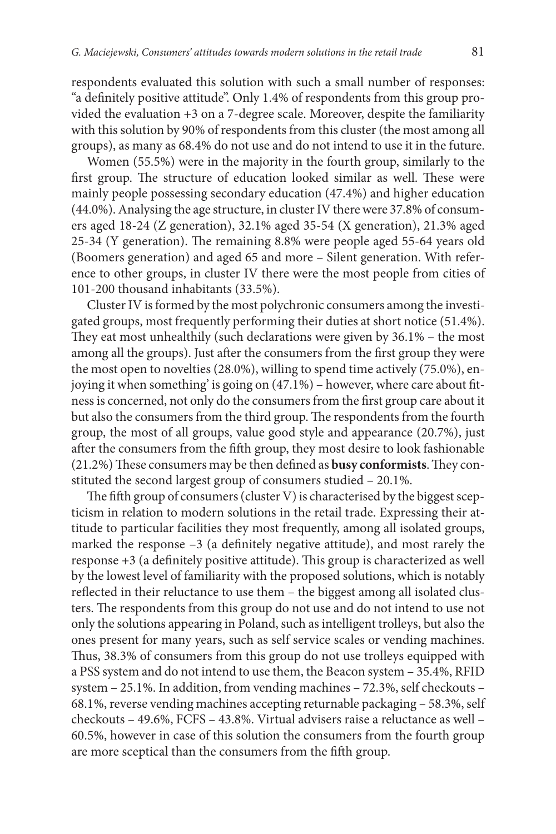respondents evaluated this solution with such a small number of responses: "a definitely positive attitude". Only 1.4% of respondents from this group provided the evaluation +3 on a 7-degree scale. Moreover, despite the familiarity with this solution by 90% of respondents from this cluster (the most among all groups), as many as 68.4% do not use and do not intend to use it in the future.

Women (55.5%) were in the majority in the fourth group, similarly to the first group. The structure of education looked similar as well. These were mainly people possessing secondary education (47.4%) and higher education (44.0%). Analysing the age structure, in cluster IV there were 37.8% of consumers aged 18-24 (Z generation), 32.1% aged 35-54 (X generation), 21.3% aged 25-34 (Y generation). The remaining 8.8% were people aged 55-64 years old (Boomers generation) and aged 65 and more – Silent generation. With reference to other groups, in cluster IV there were the most people from cities of 101-200 thousand inhabitants (33.5%).

Cluster IV is formed by the most polychronic consumers among the investigated groups, most frequently performing their duties at short notice (51.4%). They eat most unhealthily (such declarations were given by 36.1% – the most among all the groups). Just after the consumers from the first group they were the most open to novelties (28.0%), willing to spend time actively (75.0%), enjoying it when something' is going on (47.1%) – however, where care about fitness is concerned, not only do the consumers from the first group care about it but also the consumers from the third group. The respondents from the fourth group, the most of all groups, value good style and appearance (20.7%), just after the consumers from the fifth group, they most desire to look fashionable (21.2%) These consumers may be then defined as **busy conformists**.They constituted the second largest group of consumers studied – 20.1%.

The fifth group of consumers (cluster V) is characterised by the biggest scepticism in relation to modern solutions in the retail trade. Expressing their attitude to particular facilities they most frequently, among all isolated groups, marked the response –3 (a definitely negative attitude), and most rarely the response +3 (a definitely positive attitude). This group is characterized as well by the lowest level of familiarity with the proposed solutions, which is notably reflected in their reluctance to use them – the biggest among all isolated clusters. The respondents from this group do not use and do not intend to use not only the solutions appearing in Poland, such as intelligent trolleys, but also the ones present for many years, such as self service scales or vending machines. Thus, 38.3% of consumers from this group do not use trolleys equipped with a PSS system and do not intend to use them, the Beacon system – 35.4%, RFID system – 25.1%. In addition, from vending machines – 72.3%, self checkouts – 68.1%, reverse vending machines accepting returnable packaging – 58.3%, self checkouts – 49.6%, FCFS – 43.8%. Virtual advisers raise a reluctance as well – 60.5%, however in case of this solution the consumers from the fourth group are more sceptical than the consumers from the fifth group.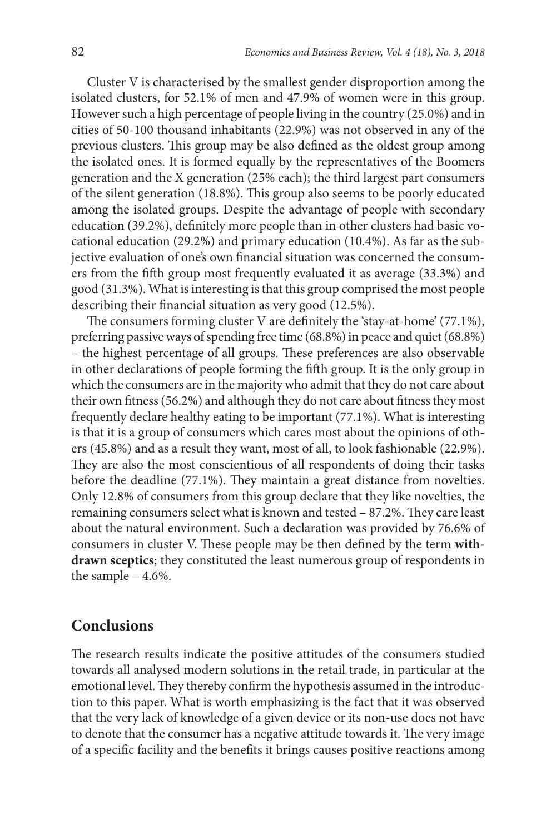Cluster V is characterised by the smallest gender disproportion among the isolated clusters, for 52.1% of men and 47.9% of women were in this group. However such a high percentage of people living in the country (25.0%) and in cities of 50-100 thousand inhabitants (22.9%) was not observed in any of the previous clusters. This group may be also defined as the oldest group among the isolated ones. It is formed equally by the representatives of the Boomers generation and the X generation (25% each); the third largest part consumers of the silent generation (18.8%). This group also seems to be poorly educated among the isolated groups. Despite the advantage of people with secondary education (39.2%), definitely more people than in other clusters had basic vocational education (29.2%) and primary education (10.4%). As far as the subjective evaluation of one's own financial situation was concerned the consumers from the fifth group most frequently evaluated it as average (33.3%) and good (31.3%). What is interesting is that this group comprised the most people describing their financial situation as very good (12.5%).

The consumers forming cluster V are definitely the 'stay-at-home' (77.1%), preferring passive ways of spending free time (68.8%) in peace and quiet (68.8%) – the highest percentage of all groups. These preferences are also observable in other declarations of people forming the fifth group. It is the only group in which the consumers are in the majority who admit that they do not care about their own fitness (56.2%) and although they do not care about fitness they most frequently declare healthy eating to be important (77.1%). What is interesting is that it is a group of consumers which cares most about the opinions of others (45.8%) and as a result they want, most of all, to look fashionable (22.9%). They are also the most conscientious of all respondents of doing their tasks before the deadline (77.1%). They maintain a great distance from novelties. Only 12.8% of consumers from this group declare that they like novelties, the remaining consumers select what is known and tested – 87.2%. They care least about the natural environment. Such a declaration was provided by 76.6% of consumers in cluster V. These people may be then defined by the term **withdrawn sceptics**; they constituted the least numerous group of respondents in the sample – 4.6%.

#### **Conclusions**

The research results indicate the positive attitudes of the consumers studied towards all analysed modern solutions in the retail trade, in particular at the emotional level. They thereby confirm the hypothesis assumed in the introduction to this paper. What is worth emphasizing is the fact that it was observed that the very lack of knowledge of a given device or its non-use does not have to denote that the consumer has a negative attitude towards it. The very image of a specific facility and the benefits it brings causes positive reactions among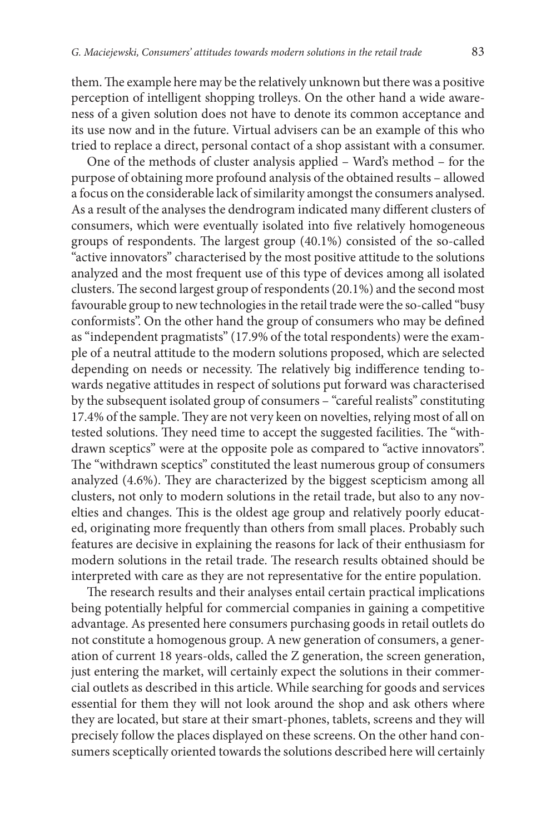them. The example here may be the relatively unknown but there was a positive perception of intelligent shopping trolleys. On the other hand a wide awareness of a given solution does not have to denote its common acceptance and its use now and in the future. Virtual advisers can be an example of this who tried to replace a direct, personal contact of a shop assistant with a consumer.

One of the methods of cluster analysis applied – Ward's method – for the purpose of obtaining more profound analysis of the obtained results – allowed a focus on the considerable lack of similarity amongst the consumers analysed. As a result of the analyses the dendrogram indicated many different clusters of consumers, which were eventually isolated into five relatively homogeneous groups of respondents. The largest group (40.1%) consisted of the so-called "active innovators" characterised by the most positive attitude to the solutions analyzed and the most frequent use of this type of devices among all isolated clusters.The second largest group of respondents (20.1%) and the second most favourable group to new technologies in the retail trade were the so-called "busy conformists". On the other hand the group of consumers who may be defined as "independent pragmatists" (17.9% of the total respondents) were the example of a neutral attitude to the modern solutions proposed, which are selected depending on needs or necessity. The relatively big indifference tending towards negative attitudes in respect of solutions put forward was characterised by the subsequent isolated group of consumers – "careful realists" constituting 17.4% of the sample. They are not very keen on novelties, relying most of all on tested solutions. They need time to accept the suggested facilities. The "withdrawn sceptics" were at the opposite pole as compared to "active innovators". The "withdrawn sceptics" constituted the least numerous group of consumers analyzed (4.6%). They are characterized by the biggest scepticism among all clusters, not only to modern solutions in the retail trade, but also to any novelties and changes. This is the oldest age group and relatively poorly educated, originating more frequently than others from small places. Probably such features are decisive in explaining the reasons for lack of their enthusiasm for modern solutions in the retail trade. The research results obtained should be interpreted with care as they are not representative for the entire population.

The research results and their analyses entail certain practical implications being potentially helpful for commercial companies in gaining a competitive advantage. As presented here consumers purchasing goods in retail outlets do not constitute a homogenous group. A new generation of consumers, a generation of current 18 years-olds, called the Z generation, the screen generation, just entering the market, will certainly expect the solutions in their commercial outlets as described in this article. While searching for goods and services essential for them they will not look around the shop and ask others where they are located, but stare at their smart-phones, tablets, screens and they will precisely follow the places displayed on these screens. On the other hand consumers sceptically oriented towards the solutions described here will certainly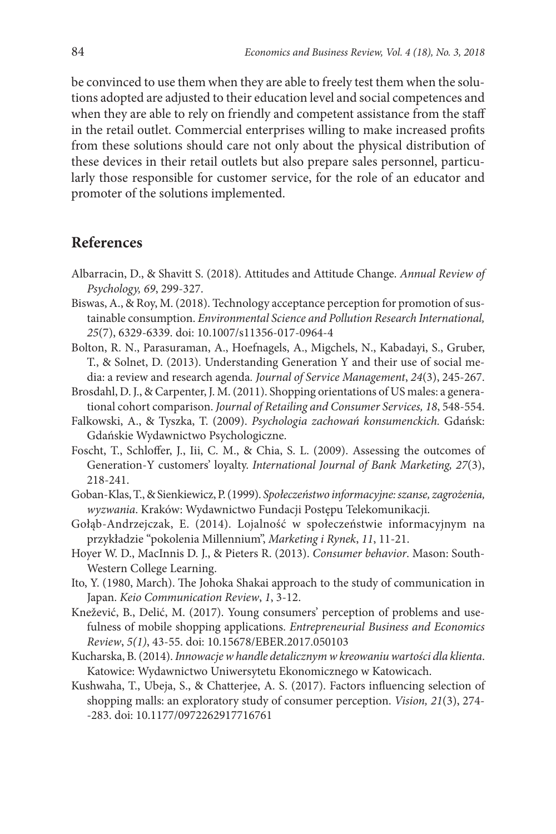be convinced to use them when they are able to freely test them when the solutions adopted are adjusted to their education level and social competences and when they are able to rely on friendly and competent assistance from the staff in the retail outlet. Commercial enterprises willing to make increased profits from these solutions should care not only about the physical distribution of these devices in their retail outlets but also prepare sales personnel, particularly those responsible for customer service, for the role of an educator and promoter of the solutions implemented.

#### **References**

- Albarracin, D., & Shavitt S. (2018). Attitudes and Attitude Change. *Annual Review of Psychology, 69*, 299-327.
- Biswas, A., & Roy, M. (2018). Technology acceptance perception for promotion of sustainable consumption. *Environmental Science and Pollution Research International, 25*(7), 6329-6339. doi: 10.1007/s11356-017-0964-4
- Bolton, R. N., Parasuraman, A., Hoefnagels, A., Migchels, N., Kabadayi, S., Gruber, T., & Solnet, D. (2013). Understanding Generation Y and their use of social media: a review and research agenda*. Journal of Service Management*, *24*(3), 245-267.
- Brosdahl, D. J., & Carpenter, J. M. (2011). Shopping orientations of US males: a generational cohort comparison. *Journal of Retailing and Consumer Services, 18*, 548-554.
- Falkowski, A., & Tyszka, T. (2009). *Psychologia zachowań konsumenckich.* Gdańsk: Gdańskie Wydawnictwo Psychologiczne.
- Foscht, T., Schloffer, J., Iii, C. M., & Chia, S. L. (2009). Assessing the outcomes of Generation-Y customers' loyalty. *International Journal of Bank Marketing, 27*(3), 218-241.
- Goban-Klas, T., & Sienkiewicz, P. (1999). *Społeczeństwo informacyjne: szanse, zagrożenia, wyzwania*. Kraków: Wydawnictwo Fundacji Postępu Telekomunikacji.
- Gołąb-Andrzejczak, E. (2014). Lojalność w społeczeństwie informacyjnym na przykładzie "pokolenia Millennium", *Marketing i Rynek*, *11*, 11-21.
- Hoyer W. D., MacInnis D. J., & Pieters R. (2013). *Consumer behavior*. Mason: South-Western College Learning.
- Ito, Y. (1980, March). The Johoka Shakai approach to the study of communication in Japan. *Keio Communication Review*, *1*, 3-12.
- Knežević, B., Delić, M. (2017). Young consumers' perception of problems and usefulness of mobile shopping applications. *Entrepreneurial Business and Economics Review*, *5(1)*, 43-55. doi: 10.15678/EBER.2017.050103
- Kucharska, B. (2014). *Innowacje w handle detalicznym w kreowaniu wartości dla klienta*. Katowice: Wydawnictwo Uniwersytetu Ekonomicznego w Katowicach.
- Kushwaha, T., Ubeja, S., & Chatterjee, A. S. (2017). Factors influencing selection of shopping malls: an exploratory study of consumer perception. *Vision, 21*(3), 274- -283. doi: 10.1177/0972262917716761